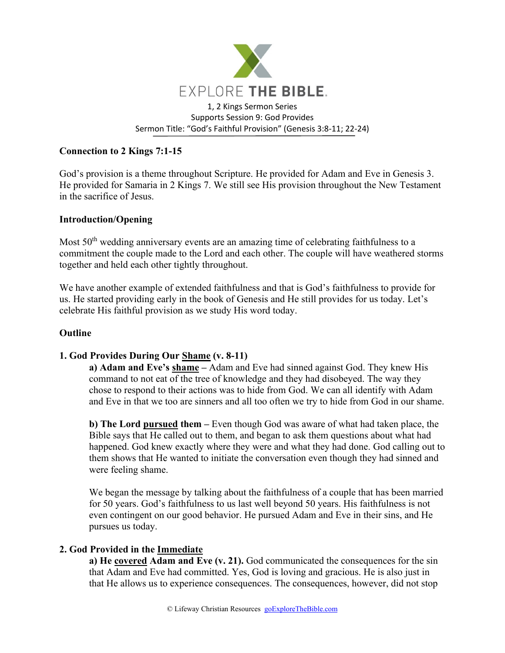

# **Connection to 2 Kings 7:1-15**

God's provision is a theme throughout Scripture. He provided for Adam and Eve in Genesis 3. He provided for Samaria in 2 Kings 7. We still see His provision throughout the New Testament in the sacrifice of Jesus.

## **Introduction/Opening**

Most 50<sup>th</sup> wedding anniversary events are an amazing time of celebrating faithfulness to a commitment the couple made to the Lord and each other. The couple will have weathered storms together and held each other tightly throughout.

We have another example of extended faithfulness and that is God's faithfulness to provide for us. He started providing early in the book of Genesis and He still provides for us today. Let's celebrate His faithful provision as we study His word today.

### **Outline**

### **1. God Provides During Our Shame (v. 8-11)**

**a) Adam and Eve's shame –** Adam and Eve had sinned against God. They knew His command to not eat of the tree of knowledge and they had disobeyed. The way they chose to respond to their actions was to hide from God. We can all identify with Adam and Eve in that we too are sinners and all too often we try to hide from God in our shame.

**b) The Lord pursued them –** Even though God was aware of what had taken place, the Bible says that He called out to them, and began to ask them questions about what had happened. God knew exactly where they were and what they had done. God calling out to them shows that He wanted to initiate the conversation even though they had sinned and were feeling shame.

We began the message by talking about the faithfulness of a couple that has been married for 50 years. God's faithfulness to us last well beyond 50 years. His faithfulness is not even contingent on our good behavior. He pursued Adam and Eve in their sins, and He pursues us today.

### **2. God Provided in the Immediate**

**a) He covered Adam and Eve (v. 21).** God communicated the consequences for the sin that Adam and Eve had committed. Yes, God is loving and gracious. He is also just in that He allows us to experience consequences. The consequences, however, did not stop